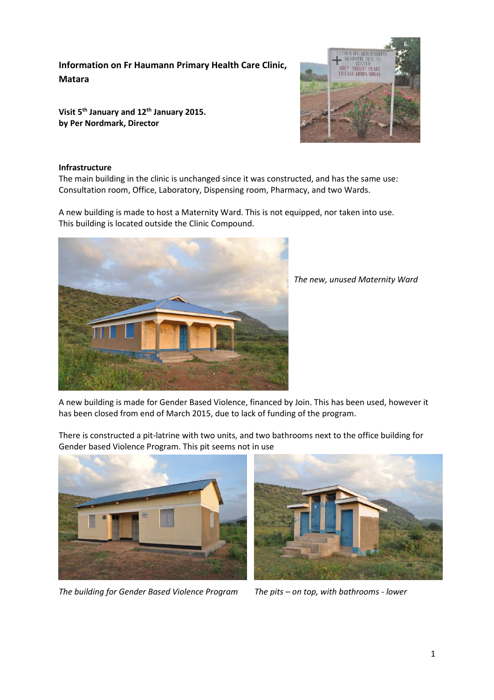**Information on Fr Haumann Primary Health Care Clinic, Matara** 

**Visit 5th January and 12th January 2015. by Per Nordmark, Director** 



## **Infrastructure**

The main building in the clinic is unchanged since it was constructed, and has the same use: Consultation room, Office, Laboratory, Dispensing room, Pharmacy, and two Wards.

A new building is made to host a Maternity Ward. This is not equipped, nor taken into use. This building is located outside the Clinic Compound.



*The new, unused Maternity Ward* 

A new building is made for Gender Based Violence, financed by Join. This has been used, however it has been closed from end of March 2015, due to lack of funding of the program.



There is constructed a pit-latrine with two units, and two bathrooms next to the office building for Gender based Violence Program. This pit seems not in use



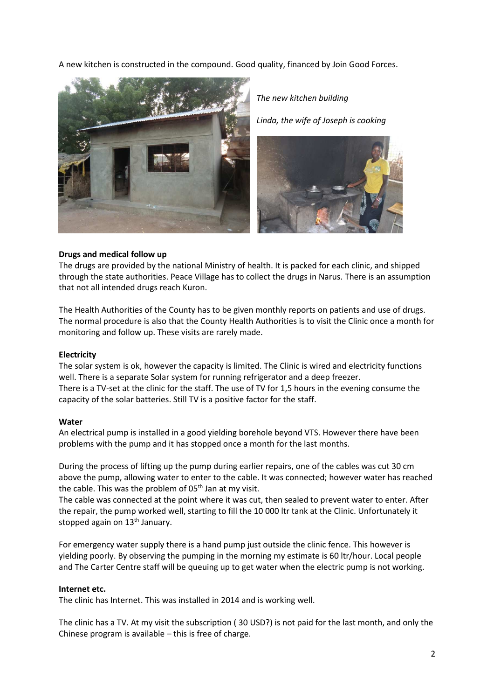A new kitchen is constructed in the compound. Good quality, financed by Join Good Forces.



*The new kitchen building* 

*Linda, the wife of Joseph is cooking* 



### **Drugs and medical follow up**

The drugs are provided by the national Ministry of health. It is packed for each clinic, and shipped through the state authorities. Peace Village has to collect the drugs in Narus. There is an assumption that not all intended drugs reach Kuron.

The Health Authorities of the County has to be given monthly reports on patients and use of drugs. The normal procedure is also that the County Health Authorities is to visit the Clinic once a month for monitoring and follow up. These visits are rarely made.

### **Electricity**

The solar system is ok, however the capacity is limited. The Clinic is wired and electricity functions well. There is a separate Solar system for running refrigerator and a deep freezer. There is a TV-set at the clinic for the staff. The use of TV for 1,5 hours in the evening consume the capacity of the solar batteries. Still TV is a positive factor for the staff.

#### **Water**

An electrical pump is installed in a good yielding borehole beyond VTS. However there have been problems with the pump and it has stopped once a month for the last months.

During the process of lifting up the pump during earlier repairs, one of the cables was cut 30 cm above the pump, allowing water to enter to the cable. It was connected; however water has reached the cable. This was the problem of  $05<sup>th</sup>$  Jan at my visit.

The cable was connected at the point where it was cut, then sealed to prevent water to enter. After the repair, the pump worked well, starting to fill the 10 000 ltr tank at the Clinic. Unfortunately it stopped again on  $13<sup>th</sup>$  January.

For emergency water supply there is a hand pump just outside the clinic fence. This however is yielding poorly. By observing the pumping in the morning my estimate is 60 ltr/hour. Local people and The Carter Centre staff will be queuing up to get water when the electric pump is not working.

#### **Internet etc.**

The clinic has Internet. This was installed in 2014 and is working well.

The clinic has a TV. At my visit the subscription ( 30 USD?) is not paid for the last month, and only the Chinese program is available – this is free of charge.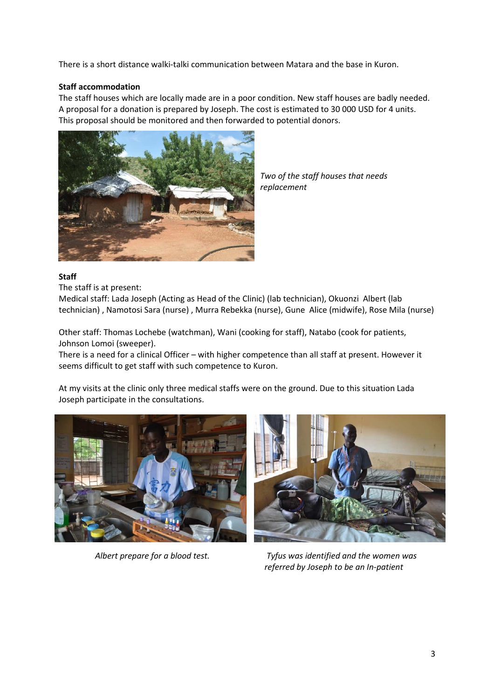There is a short distance walki-talki communication between Matara and the base in Kuron.

# **Staff accommodation**

The staff houses which are locally made are in a poor condition. New staff houses are badly needed. A proposal for a donation is prepared by Joseph. The cost is estimated to 30 000 USD for 4 units. This proposal should be monitored and then forwarded to potential donors.



*Two of the staff houses that needs replacement* 

## **Staff**

The staff is at present:

Medical staff: Lada Joseph (Acting as Head of the Clinic) (lab technician), Okuonzi Albert (lab technician) , Namotosi Sara (nurse) , Murra Rebekka (nurse), Gune Alice (midwife), Rose Mila (nurse)

Other staff: Thomas Lochebe (watchman), Wani (cooking for staff), Natabo (cook for patients, Johnson Lomoi (sweeper).

There is a need for a clinical Officer – with higher competence than all staff at present. However it seems difficult to get staff with such competence to Kuron.

At my visits at the clinic only three medical staffs were on the ground. Due to this situation Lada Joseph participate in the consultations.





*Albert prepare for a blood test. Tyfus was identified and the women was referred by Joseph to be an In-patient*